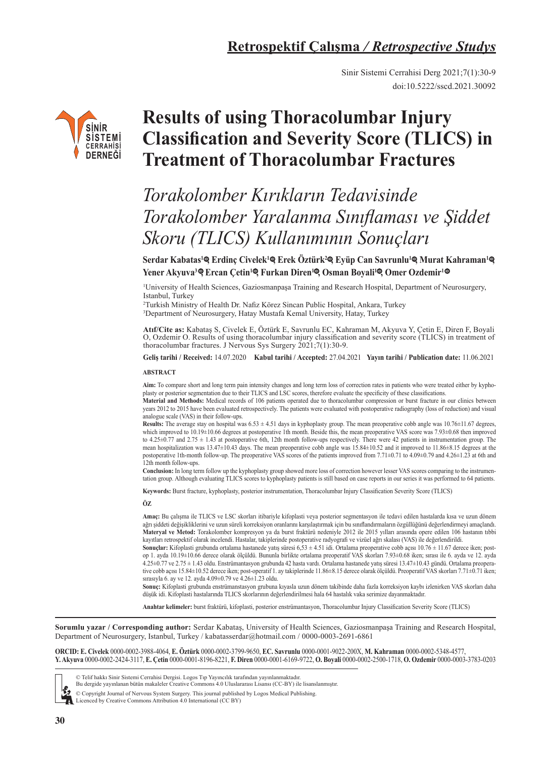### **Retrospektif Çalışma** */ Retrospective Studys*

Sinir Sistemi Cerrahisi Derg 2021;7(1):30-9 doi:10.5222/sscd.2021.30092



# **Results of using Thoracolumbar Injury Classification and Severity Score (TLICS) in Treatment of Thoracolumbar Fractures**

# *Torakolomber Kırıkların Tedavisinde Torakolomber Yaralanma Sınıflaması ve Şiddet Skoru (TLICS) Kullanımının Sonuçları*

Serdar Kabatas'® Erdinç Civelek'® Erek Oztürk<sup>2</sup>® Eyüp Can Savrunlu'® Murat Kahraman'® **Yener Akyuva[3 ,](https://orcid.org/0000-0002-2424-3117) Ercan Çetin[1 ,](https://orcid.org/0000-0001-8196-8221) Furkan Diren[1 ,](https://orcid.org/0000-0001-6169-9722) Osman Boyali[1](https://orcid.org/0000-0002-2500-1718) , Omer Ozdemir<sup>1</sup> ID ID ID ID [ID](https://orcid.org/0000-0003-3783-0203)**

1 University of Health Sciences, Gaziosmanpaşa Training and Research Hospital, Department of Neurosurgery, Istanbul, Turkey

2 Turkish Ministry of Health Dr. Nafiz Körez Sincan Public Hospital, Ankara, Turkey

3 Department of Neurosurgery, Hatay Mustafa Kemal University, Hatay, Turkey

**Atıf/Cite as:** Kabataş S, Civelek E, Öztürk E, Savrunlu EC, Kahraman M, Akyuva Y, Çetin E, Diren F, Boyali O, Ozdemir O. Results of using thoracolumbar injury classification and severity score (TLICS) in treatment of thoracolumbar fractures. J Nervous Sys Surgery 2021;7(1):30-9.

**Geliş tarihi / Received:** 14.07.2020 **Kabul tarihi / Accepted:** 27.04.2021 **Yayın tarihi / Publication date:** 11.06.2021

#### **ABSTRACT**

**Aim:** To compare short and long term pain intensity changes and long term loss of correction rates in patients who were treated either by kyphoplasty or posterior segmentation due to their TLICS and LSC scores, therefore evaluate the specificity of these classifications.

**Material and Methods:** Medical records of 106 patients operated due to thoracolumbar compression or burst fracture in our clinics between years 2012 to 2015 have been evaluated retrospectively. The patients were evaluated with postoperative radiography (loss of reduction) and visual analogue scale (VAS) in their follow-ups.

**Results:** The average stay on hospital was 6.53 ± 4.51 days in kyphoplasty group. The mean preoperative cobb angle was 10.76±11.67 degrees, which improved to 10.19±10.66 degrees at postoperative 1th month. Beside this, the mean preoperative VAS score was 7.93±0.68 then improved to  $4.25\pm0.77$  and  $2.75\pm1.43$  at postoperative 6th, 12th month follow-ups respectively. There were 42 patients in instrumentation group. The mean hospitalization was 13.47±10.43 days. The mean preoperative cobb angle was 15.84±10.52 and it improved to 11.86±8.15 degrees at the postoperative 1th-month follow-up. The preoperative VAS scores of the patients improved from 7.71±0.71 to 4.09±0.79 and 4.26±1.23 at 6th and 12th month follow-ups.

**Conclusion:** In long term follow up the kyphoplasty group showed more loss of correction however lesser VAS scores comparing to the instrumentation group. Although evaluating TLICS scores to kyphoplasty patients is still based on case reports in our series it was performed to 64 patients.

**Keywords:** Burst fracture, kyphoplasty, posterior instrumentation, Thoracolumbar Injury Classification Severity Score (TLICS)

**ÖZ**

**Amaç:** Bu çalışma ile TLICS ve LSC skorları itibariyle kifoplasti veya posterior segmentasyon ile tedavi edilen hastalarda kısa ve uzun dönem ağrı şiddeti değişikliklerini ve uzun süreli korreksiyon oranlarını karşılaştırmak için bu sınıflandırmaların özgüllüğünü değerlendirmeyi amaçlandı. **Materyal ve Metod:** Torakolomber kompresyon ya da burst fraktürü nedeniyle 2012 ile 2015 yılları arasında opere edilen 106 hastanın tıbbi kayıtları retrospektif olarak incelendi. Hastalar, takiplerinde postoperative radyografi ve vizüel ağrı skalası (VAS) ile değerlendirildi.

**Sonuçlar:** Kifoplasti grubunda ortalama hastanede yatış süresi 6,53 ± 4.51 idi. Ortalama preoperative cobb açısı 10.76 ± 11.67 derece iken; postop 1. ayda 10.19±10.66 derece olarak ölçüldü. Bununla birlikte ortalama preoperatif VAS skorları 7.93±0.68 iken; sırası ile 6. ayda ve 12. ayda 4.25±0.77 ve 2.75 ± 1.43 oldu. Enstrümantasyon grubunda 42 hasta vardı. Ortalama hastanede yatış süresi 13.47±10.43 gündü. Ortalama preoperative cobb açısı 15.84±10.52 derece iken; post-operatif 1. ay takiplerinde 11.86±8.15 derece olarak ölçüldü. Preoperatif VAS skorları 7.71±0.71 iken; sırasıyla 6. ay ve 12. ayda 4.09±0.79 ve 4.26±1.23 oldu.

**Sonuç:** Kifoplasti grubunda enstrümanstasyon grubuna kıyasla uzun dönem takibinde daha fazla korreksiyon kaybı izlenirken VAS skorları daha düşük idi. Kifoplasti hastalarında TLICS skorlarının değerlendirilmesi hala 64 hastalık vaka serimize dayanmaktadır.

**Anahtar kelimeler:** burst fraktürü, kifoplasti, posterior enstrümantasyon, Thoracolumbar Injury Classification Severity Score (TLICS)

**Sorumlu yazar / Corresponding author:** Serdar Kabataş, University of Health Sciences, Gaziosmanpaşa Training and Research Hospital, Department of Neurosurgery, Istanbul, Turkey / kabatasserdar@hotmail.com / 0000-0003-2691-6861

**ORCID: E. Civelek** 0000-0002-3988-4064, **E. Öztürk** 0000-0002-3799-9650, **EC. Savrunlu** 0000-0001-9022-200X, **M. Kahraman** 0000-0002-5348-4577, **Y. Akyuva** 0000-0002-2424-3117, **E. Çetin** 0000-0001-8196-8221, **F. Diren** 0000-0001-6169-9722, **O. Boyali** 0000-0002-2500-1718, **O. Ozdemir** 0000-0003-3783-0203



<sup>©</sup> Telif hakkı Sinir Sistemi Cerrahisi Dergisi. Logos Tıp Yayıncılık tarafından yayınlanmaktadır.

© Copyright Journal of Nervous System Surgery. This journal published by Logos Medical Publishing. Licenced by Creative Commons Attribution 4.0 International (CC BY)

Bu dergide yayınlanan bütün makaleler Creative Commons 4.0 Uluslararası Lisansı (CC-BY) ile lisanslanmıştır.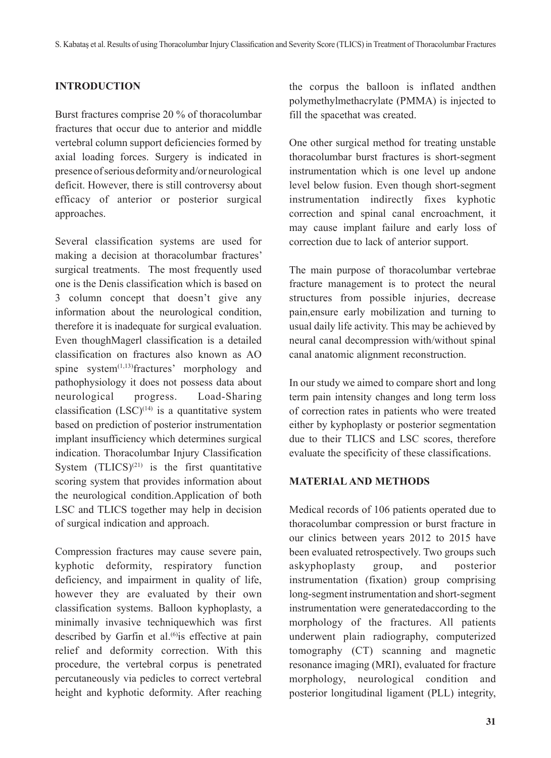### **INTRODUCTION**

Burst fractures comprise 20 % of thoracolumbar fractures that occur due to anterior and middle vertebral column support deficiencies formed by axial loading forces. Surgery is indicated in presence of serious deformity and/or neurological deficit. However, there is still controversy about efficacy of anterior or posterior surgical approaches.

Several classification systems are used for making a decision at thoracolumbar fractures' surgical treatments. The most frequently used one is the Denis classification which is based on 3 column concept that doesn't give any information about the neurological condition, therefore it is inadequate for surgical evaluation. Even thoughMagerl classification is a detailed classification on fractures also known as AO spine system $(1,13)$  fractures' morphology and pathophysiology it does not possess data about neurological progress. Load-Sharing classification  $(LSC)^{(14)}$  is a quantitative system based on prediction of posterior instrumentation implant insufficiency which determines surgical indication. Thoracolumbar Injury Classification System  $(TLICS)^{(21)}$  is the first quantitative scoring system that provides information about the neurological condition.Application of both LSC and TLICS together may help in decision of surgical indication and approach.

Compression fractures may cause severe pain, kyphotic deformity, respiratory function deficiency, and impairment in quality of life, however they are evaluated by their own classification systems. Balloon kyphoplasty, a minimally invasive techniquewhich was first described by Garfin et al.<sup>(6)</sup>is effective at pain relief and deformity correction. With this procedure, the vertebral corpus is penetrated percutaneously via pedicles to correct vertebral height and kyphotic deformity. After reaching

the corpus the balloon is inflated andthen polymethylmethacrylate (PMMA) is injected to fill the spacethat was created.

One other surgical method for treating unstable thoracolumbar burst fractures is short-segment instrumentation which is one level up andone level below fusion. Even though short-segment instrumentation indirectly fixes kyphotic correction and spinal canal encroachment, it may cause implant failure and early loss of correction due to lack of anterior support.

The main purpose of thoracolumbar vertebrae fracture management is to protect the neural structures from possible injuries, decrease pain,ensure early mobilization and turning to usual daily life activity. This may be achieved by neural canal decompression with/without spinal canal anatomic alignment reconstruction.

In our study we aimed to compare short and long term pain intensity changes and long term loss of correction rates in patients who were treated either by kyphoplasty or posterior segmentation due to their TLICS and LSC scores, therefore evaluate the specificity of these classifications.

#### **MATERIAL AND METHODS**

Medical records of 106 patients operated due to thoracolumbar compression or burst fracture in our clinics between years 2012 to 2015 have been evaluated retrospectively. Two groups such askyphoplasty group, and posterior instrumentation (fixation) group comprising long-segment instrumentation and short-segment instrumentation were generatedaccording to the morphology of the fractures. All patients underwent plain radiography, computerized tomography (CT) scanning and magnetic resonance imaging (MRI), evaluated for fracture morphology, neurological condition and posterior longitudinal ligament (PLL) integrity,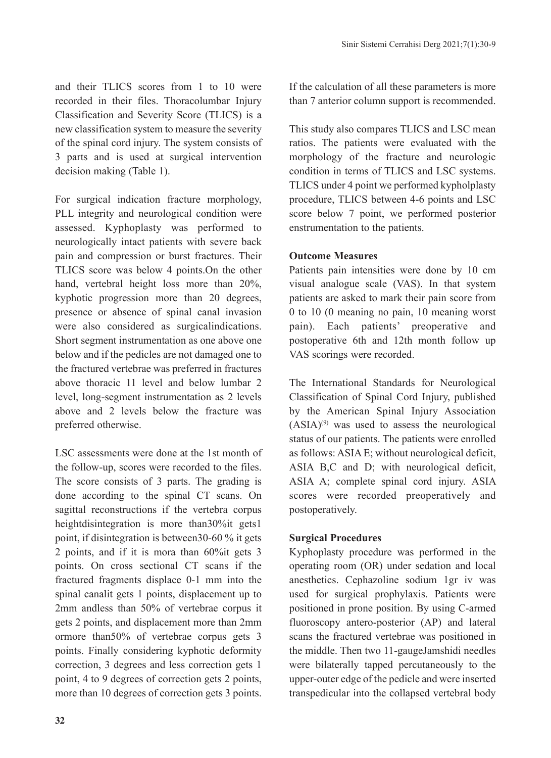and their TLICS scores from 1 to 10 were recorded in their files. Thoracolumbar Injury Classification and Severity Score (TLICS) is a new classification system to measure the severity of the spinal cord injury. The system consists of 3 parts and is used at surgical intervention decision making (Table 1).

For surgical indication fracture morphology, PLL integrity and neurological condition were assessed. Kyphoplasty was performed to neurologically intact patients with severe back pain and compression or burst fractures. Their TLICS score was below 4 points.On the other hand, vertebral height loss more than 20%, kyphotic progression more than 20 degrees, presence or absence of spinal canal invasion were also considered as surgicalindications. Short segment instrumentation as one above one below and if the pedicles are not damaged one to the fractured vertebrae was preferred in fractures above thoracic 11 level and below lumbar 2 level, long-segment instrumentation as 2 levels above and 2 levels below the fracture was preferred otherwise.

LSC assessments were done at the 1st month of the follow-up, scores were recorded to the files. The score consists of 3 parts. The grading is done according to the spinal CT scans. On sagittal reconstructions if the vertebra corpus heightdisintegration is more than30%it gets1 point, if disintegration is between30-60 % it gets 2 points, and if it is mora than 60%it gets 3 points. On cross sectional CT scans if the fractured fragments displace 0-1 mm into the spinal canalit gets 1 points, displacement up to 2mm andless than 50% of vertebrae corpus it gets 2 points, and displacement more than 2mm ormore than50% of vertebrae corpus gets 3 points. Finally considering kyphotic deformity correction, 3 degrees and less correction gets 1 point, 4 to 9 degrees of correction gets 2 points, more than 10 degrees of correction gets 3 points.

If the calculation of all these parameters is more than 7 anterior column support is recommended.

This study also compares TLICS and LSC mean ratios. The patients were evaluated with the morphology of the fracture and neurologic condition in terms of TLICS and LSC systems. TLICS under 4 point we performed kypholplasty procedure, TLICS between 4-6 points and LSC score below 7 point, we performed posterior enstrumentation to the patients.

#### **Outcome Measures**

Patients pain intensities were done by 10 cm visual analogue scale (VAS). In that system patients are asked to mark their pain score from 0 to 10 (0 meaning no pain, 10 meaning worst pain). Each patients' preoperative and postoperative 6th and 12th month follow up VAS scorings were recorded.

The International Standards for Neurological Classification of Spinal Cord Injury, published by the American Spinal Injury Association  $(ASIA)^{(9)}$  was used to assess the neurological status of our patients. The patients were enrolled as follows: ASIA E; without neurological deficit, ASIA B,C and D; with neurological deficit, ASIA A; complete spinal cord injury. ASIA scores were recorded preoperatively and postoperatively.

#### **Surgical Procedures**

Kyphoplasty procedure was performed in the operating room (OR) under sedation and local anesthetics. Cephazoline sodium 1gr iv was used for surgical prophylaxis. Patients were positioned in prone position. By using C-armed fluoroscopy antero-posterior (AP) and lateral scans the fractured vertebrae was positioned in the middle. Then two 11-gaugeJamshidi needles were bilaterally tapped percutaneously to the upper-outer edge of the pedicle and were inserted transpedicular into the collapsed vertebral body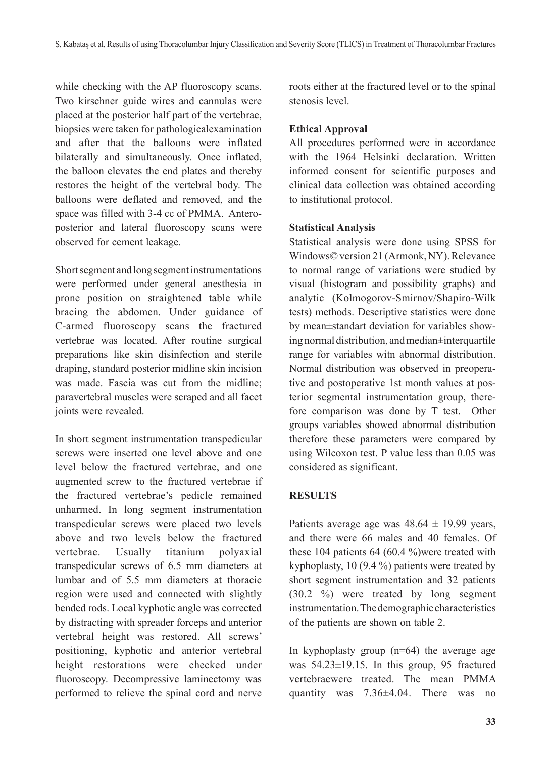while checking with the AP fluoroscopy scans. Two kirschner guide wires and cannulas were placed at the posterior half part of the vertebrae, biopsies were taken for pathologicalexamination and after that the balloons were inflated bilaterally and simultaneously. Once inflated, the balloon elevates the end plates and thereby restores the height of the vertebral body. The balloons were deflated and removed, and the space was filled with 3-4 cc of PMMA. Anteroposterior and lateral fluoroscopy scans were observed for cement leakage.

Short segment and long segment instrumentations were performed under general anesthesia in prone position on straightened table while bracing the abdomen. Under guidance of C-armed fluoroscopy scans the fractured vertebrae was located. After routine surgical preparations like skin disinfection and sterile draping, standard posterior midline skin incision was made. Fascia was cut from the midline; paravertebral muscles were scraped and all facet joints were revealed.

In short segment instrumentation transpedicular screws were inserted one level above and one level below the fractured vertebrae, and one augmented screw to the fractured vertebrae if the fractured vertebrae's pedicle remained unharmed. In long segment instrumentation transpedicular screws were placed two levels above and two levels below the fractured vertebrae. Usually titanium polyaxial transpedicular screws of 6.5 mm diameters at lumbar and of 5.5 mm diameters at thoracic region were used and connected with slightly bended rods. Local kyphotic angle was corrected by distracting with spreader forceps and anterior vertebral height was restored. All screws' positioning, kyphotic and anterior vertebral height restorations were checked under fluoroscopy. Decompressive laminectomy was performed to relieve the spinal cord and nerve

roots either at the fractured level or to the spinal stenosis level.

#### **Ethical Approval**

All procedures performed were in accordance with the 1964 Helsinki declaration. Written informed consent for scientific purposes and clinical data collection was obtained according to institutional protocol.

#### **Statistical Analysis**

Statistical analysis were done using SPSS for Windows© version 21 (Armonk, NY). Relevance to normal range of variations were studied by visual (histogram and possibility graphs) and analytic (Kolmogorov-Smirnov/Shapiro-Wilk tests) methods. Descriptive statistics were done by mean±standart deviation for variables showing normal distribution, and median±interquartile range for variables witn abnormal distribution. Normal distribution was observed in preoperative and postoperative 1st month values at posterior segmental instrumentation group, therefore comparison was done by T test. Other groups variables showed abnormal distribution therefore these parameters were compared by using Wilcoxon test. P value less than 0.05 was considered as significant.

### **RESULTS**

Patients average age was  $48.64 \pm 19.99$  years, and there were 66 males and 40 females. Of these 104 patients 64 (60.4 %)were treated with kyphoplasty, 10 (9.4 %) patients were treated by short segment instrumentation and 32 patients (30.2 %) were treated by long segment instrumentation. The demographic characteristics of the patients are shown on table 2.

In kyphoplasty group (n=64) the average age was 54.23±19.15. In this group, 95 fractured vertebraewere treated. The mean PMMA quantity was 7.36±4.04. There was no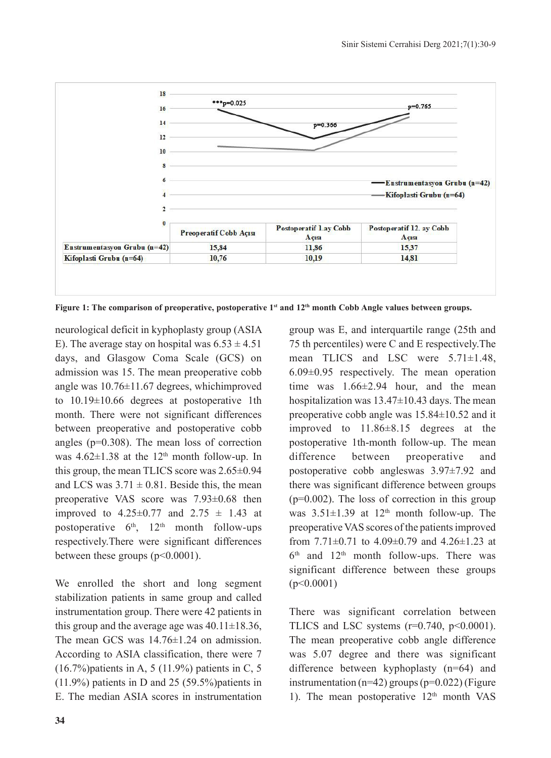

**Figure 1: The comparison of preoperative, postoperative 1st and 12th month Cobb Angle values between groups.**

neurological deficit in kyphoplasty group (ASIA E). The average stay on hospital was  $6.53 \pm 4.51$ days, and Glasgow Coma Scale (GCS) on admission was 15. The mean preoperative cobb angle was 10.76±11.67 degrees, whichimproved to 10.19±10.66 degrees at postoperative 1th month. There were not significant differences between preoperative and postoperative cobb angles (p=0.308). The mean loss of correction was  $4.62 \pm 1.38$  at the 12<sup>th</sup> month follow-up. In this group, the mean TLICS score was 2.65±0.94 and LCS was  $3.71 \pm 0.81$ . Beside this, the mean preoperative VAS score was 7.93±0.68 then improved to  $4.25 \pm 0.77$  and  $2.75 \pm 1.43$  at postoperative  $6<sup>th</sup>$ ,  $12<sup>th</sup>$  month follow-ups respectively.There were significant differences between these groups (p<0.0001).

We enrolled the short and long segment stabilization patients in same group and called instrumentation group. There were 42 patients in this group and the average age was  $40.11 \pm 18.36$ , The mean GCS was 14.76±1.24 on admission. According to ASIA classification, there were 7 (16.7%)patients in A, 5 (11.9%) patients in C, 5  $(11.9\%)$  patients in D and 25 (59.5%) patients in E. The median ASIA scores in instrumentation

**34**

group was E, and interquartile range (25th and 75 th percentiles) were C and E respectively.The mean TLICS and LSC were  $5.71 \pm 1.48$ , 6.09±0.95 respectively. The mean operation time was 1.66±2.94 hour, and the mean hospitalization was  $13.47\pm10.43$  days. The mean preoperative cobb angle was 15.84±10.52 and it improved to 11.86±8.15 degrees at the postoperative 1th-month follow-up. The mean difference between preoperative and postoperative cobb angleswas 3.97±7.92 and there was significant difference between groups  $(p=0.002)$ . The loss of correction in this group was  $3.51 \pm 1.39$  at  $12<sup>th</sup>$  month follow-up. The preoperative VAS scores of the patients improved from  $7.71\pm0.71$  to  $4.09\pm0.79$  and  $4.26\pm1.23$  at  $6<sup>th</sup>$  and  $12<sup>th</sup>$  month follow-ups. There was significant difference between these groups  $(p<0.0001)$ 

There was significant correlation between TLICS and LSC systems  $(r=0.740, p<0.0001)$ . The mean preoperative cobb angle difference was 5.07 degree and there was significant difference between kyphoplasty (n=64) and instrumentation ( $n=42$ ) groups ( $p=0.022$ ) (Figure 1). The mean postoperative  $12<sup>th</sup>$  month VAS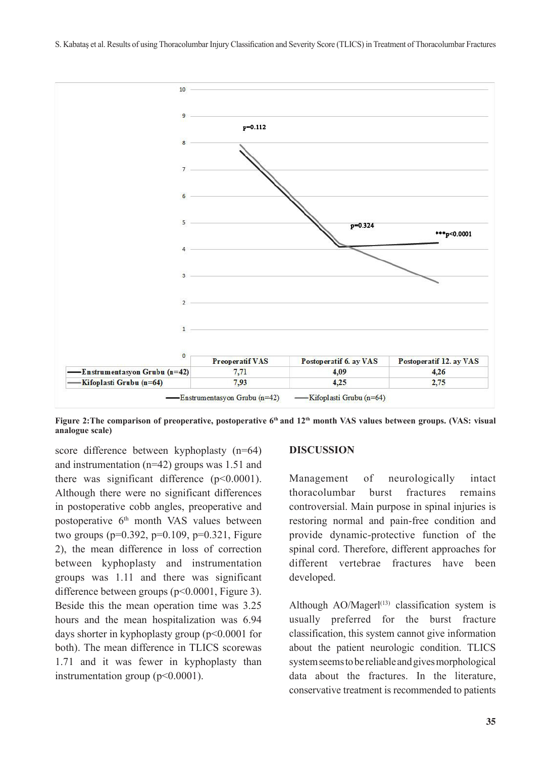S. Kabataş et al. Results of using Thoracolumbar Injury Classification and Severity Score (TLICS) in Treatment of Thoracolumbar Fractures



**Figure 2:The comparison of preoperative, postoperative 6th and 12th month VAS values between groups. (VAS: visual analogue scale)**

score difference between kyphoplasty (n=64) and instrumentation (n=42) groups was 1.51 and there was significant difference (p<0.0001). Although there were no significant differences in postoperative cobb angles, preoperative and postoperative 6<sup>th</sup> month VAS values between two groups (p=0.392, p=0.109, p=0.321, Figure 2), the mean difference in loss of correction between kyphoplasty and instrumentation groups was 1.11 and there was significant difference between groups (p<0.0001, Figure 3). Beside this the mean operation time was 3.25 hours and the mean hospitalization was 6.94 days shorter in kyphoplasty group (p<0.0001 for both). The mean difference in TLICS scorewas 1.71 and it was fewer in kyphoplasty than instrumentation group  $(p<0.0001)$ .

#### **DISCUSSION**

Management of neurologically intact thoracolumbar burst fractures remains controversial. Main purpose in spinal injuries is restoring normal and pain-free condition and provide dynamic-protective function of the spinal cord. Therefore, different approaches for different vertebrae fractures have been developed.

Although  $AO/Magerl<sup>(13)</sup>$  classification system is usually preferred for the burst fracture classification, this system cannot give information about the patient neurologic condition. TLICS system seems to be reliable and gives morphological data about the fractures. In the literature, conservative treatment is recommended to patients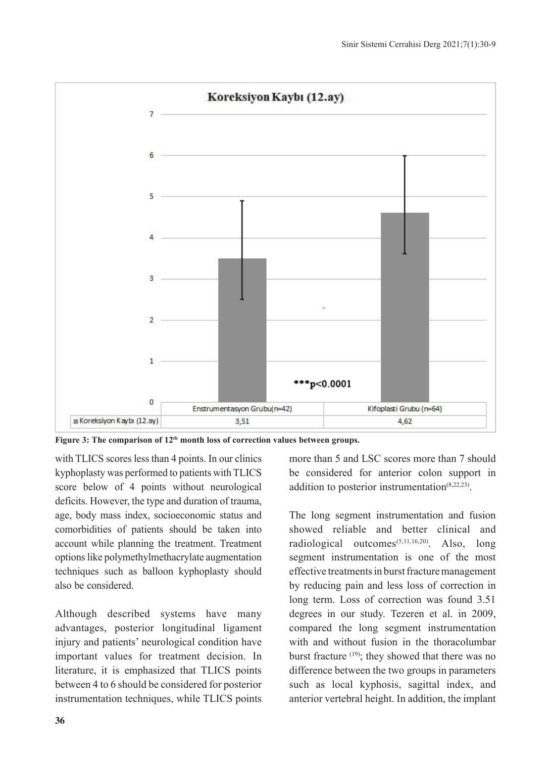

Figure 3: The comparison of 12<sup>th</sup> month loss of correction values between groups.

with TLICS scores less than 4 points. In our clinics kyphoplasty was performed to patients with TLICS score below of 4 points without neurological deficits. However, the type and duration of trauma, age, body mass index, socioeconomic status and comorbidities of patients should be taken into account while planning the treatment. Treatment options like polymethylmethacrylate augmentation techniques such as balloon kyphoplasty should also be considered.

Although described systems have many advantages, posterior longitudinal ligament injury and patients' neurological condition have important values for treatment decision. In literature, it is emphasized that TLICS points between 4 to 6 should be considered for posterior instrumentation techniques, while TLICS points

more than 5 and LSC scores more than 7 should be considered for anterior colon support in addition to posterior instrumentation $(8,22,23)$ .

The long segment instrumentation and fusion showed reliable and better clinical and radiological outcomes<sup>(5,11,16,20)</sup>. Also, long segment instrumentation is one of the most effective treatments in burst fracture management by reducing pain and less loss of correction in long term. Loss of correction was found 3.51 degrees in our study. Tezeren et al. in 2009, compared the long segment instrumentation with and without fusion in the thoracolumbar burst fracture (19); they showed that there was no difference between the two groups in parameters such as local kyphosis, sagittal index, and anterior vertebral height. In addition, the implant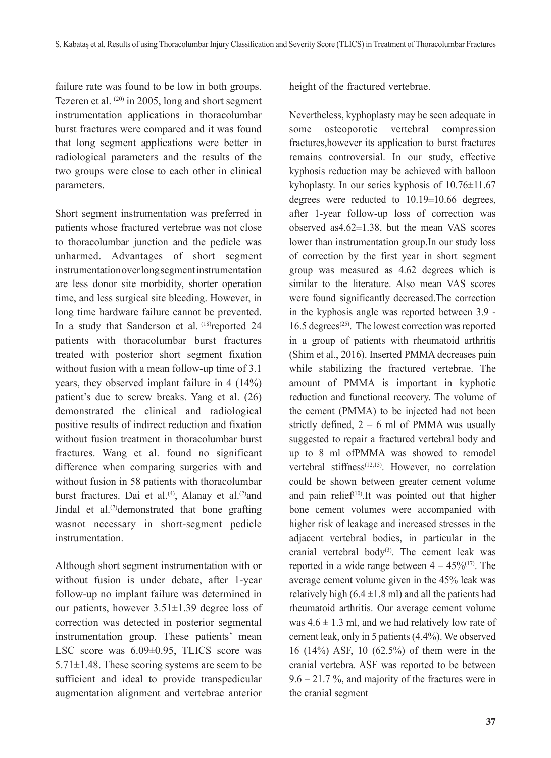failure rate was found to be low in both groups. Tezeren et al. <sup>(20)</sup> in 2005, long and short segment instrumentation applications in thoracolumbar burst fractures were compared and it was found that long segment applications were better in radiological parameters and the results of the two groups were close to each other in clinical parameters.

Short segment instrumentation was preferred in patients whose fractured vertebrae was not close to thoracolumbar junction and the pedicle was unharmed. Advantages of short segment instrumentation over long segment instrumentation are less donor site morbidity, shorter operation time, and less surgical site bleeding. However, in long time hardware failure cannot be prevented. In a study that Sanderson et al. <sup>(18)</sup>reported 24 patients with thoracolumbar burst fractures treated with posterior short segment fixation without fusion with a mean follow-up time of 3.1 years, they observed implant failure in 4 (14%) patient's due to screw breaks. Yang et al. (26) demonstrated the clinical and radiological positive results of indirect reduction and fixation without fusion treatment in thoracolumbar burst fractures. Wang et al. found no significant difference when comparing surgeries with and without fusion in 58 patients with thoracolumbar burst fractures. Dai et al.<sup>(4)</sup>, Alanay et al.<sup>(2)</sup> and Jindal et al.<sup> $(7)$ </sup> demonstrated that bone grafting wasnot necessary in short-segment pedicle **instrumentation** 

Although short segment instrumentation with or without fusion is under debate, after 1-year follow-up no implant failure was determined in our patients, however 3.51±1.39 degree loss of correction was detected in posterior segmental instrumentation group. These patients' mean LSC score was 6.09±0.95, TLICS score was 5.71±1.48. These scoring systems are seem to be sufficient and ideal to provide transpedicular augmentation alignment and vertebrae anterior height of the fractured vertebrae.

Nevertheless, kyphoplasty may be seen adequate in some osteoporotic vertebral compression fractures,however its application to burst fractures remains controversial. In our study, effective kyphosis reduction may be achieved with balloon kyhoplasty. In our series kyphosis of 10.76±11.67 degrees were reducted to 10.19±10.66 degrees, after 1-year follow-up loss of correction was observed as4.62±1.38, but the mean VAS scores lower than instrumentation group.In our study loss of correction by the first year in short segment group was measured as 4.62 degrees which is similar to the literature. Also mean VAS scores were found significantly decreased.The correction in the kyphosis angle was reported between 3.9 - 16.5 degrees<sup>(25)</sup>. The lowest correction was reported in a group of patients with rheumatoid arthritis (Shim et al., 2016). Inserted PMMA decreases pain while stabilizing the fractured vertebrae. The amount of PMMA is important in kyphotic reduction and functional recovery. The volume of the cement (PMMA) to be injected had not been strictly defined,  $2 - 6$  ml of PMMA was usually suggested to repair a fractured vertebral body and up to 8 ml ofPMMA was showed to remodel vertebral stiffness<sup> $(12,15)$ </sup>. However, no correlation could be shown between greater cement volume and pain relief<sup> $(10)$ </sup>. It was pointed out that higher bone cement volumes were accompanied with higher risk of leakage and increased stresses in the adjacent vertebral bodies, in particular in the cranial vertebral body<sup>(3)</sup>. The cement leak was reported in a wide range between  $4 - 45\%^{(17)}$ . The average cement volume given in the 45% leak was relatively high ( $6.4 \pm 1.8$  ml) and all the patients had rheumatoid arthritis. Our average cement volume was  $4.6 \pm 1.3$  ml, and we had relatively low rate of cement leak, only in 5 patients (4.4%). We observed 16 (14%) ASF, 10 (62.5%) of them were in the cranial vertebra. ASF was reported to be between  $9.6 - 21.7\%$ , and majority of the fractures were in the cranial segment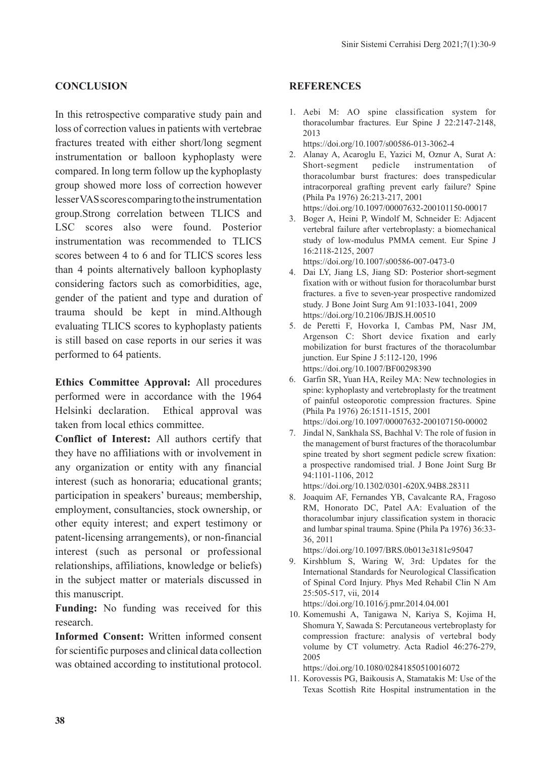#### **CONCLUSION**

In this retrospective comparative study pain and loss of correction values in patients with vertebrae fractures treated with either short/long segment instrumentation or balloon kyphoplasty were compared. In long term follow up the kyphoplasty group showed more loss of correction however lesser VAS scores comparing to the instrumentation group.Strong correlation between TLICS and LSC scores also were found. Posterior instrumentation was recommended to TLICS scores between 4 to 6 and for TLICS scores less than 4 points alternatively balloon kyphoplasty considering factors such as comorbidities, age, gender of the patient and type and duration of trauma should be kept in mind.Although evaluating TLICS scores to kyphoplasty patients is still based on case reports in our series it was performed to 64 patients.

**Ethics Committee Approval:** All procedures performed were in accordance with the 1964 Helsinki declaration. Ethical approval was taken from local ethics committee.

**Conflict of Interest:** All authors certify that they have no affiliations with or involvement in any organization or entity with any financial interest (such as honoraria; educational grants; participation in speakers' bureaus; membership, employment, consultancies, stock ownership, or other equity interest; and expert testimony or patent-licensing arrangements), or non-financial interest (such as personal or professional relationships, affiliations, knowledge or beliefs) in the subject matter or materials discussed in this manuscript.

**Funding:** No funding was received for this research.

**Informed Consent:** Written informed consent for scientific purposes and clinical data collection was obtained according to institutional protocol.

#### **REFERENCES**

1. Aebi M: AO spine classification system for thoracolumbar fractures. Eur Spine J 22:2147-2148, 2013

https://doi.org/10.1007/s00586-013-3062-4

- 2. Alanay A, Acaroglu E, Yazici M, Oznur A, Surat A: Short-segment pedicle instrumentation of thoracolumbar burst fractures: does transpedicular intracorporeal grafting prevent early failure? Spine (Phila Pa 1976) 26:213-217, 2001 https://doi.org/10.1097/00007632-200101150-00017
- 3. Boger A, Heini P, Windolf M, Schneider E: Adjacent vertebral failure after vertebroplasty: a biomechanical study of low-modulus PMMA cement. Eur Spine J 16:2118-2125, 2007 https://doi.org/10.1007/s00586-007-0473-0
- 4. Dai LY, Jiang LS, Jiang SD: Posterior short-segment fixation with or without fusion for thoracolumbar burst fractures. a five to seven-year prospective randomized study. J Bone Joint Surg Am 91:1033-1041, 2009 https://doi.org/10.2106/JBJS.H.00510
- 5. de Peretti F, Hovorka I, Cambas PM, Nasr JM, Argenson C: Short device fixation and early mobilization for burst fractures of the thoracolumbar junction. Eur Spine J 5:112-120, 1996 https://doi.org/10.1007/BF00298390
- 6. Garfin SR, Yuan HA, Reiley MA: New technologies in spine: kyphoplasty and vertebroplasty for the treatment of painful osteoporotic compression fractures. Spine (Phila Pa 1976) 26:1511-1515, 2001 https://doi.org/10.1097/00007632-200107150-00002
- 7. Jindal N, Sankhala SS, Bachhal V: The role of fusion in the management of burst fractures of the thoracolumbar spine treated by short segment pedicle screw fixation: a prospective randomised trial. J Bone Joint Surg Br 94:1101-1106, 2012

https://doi.org/10.1302/0301-620X.94B8.28311

8. Joaquim AF, Fernandes YB, Cavalcante RA, Fragoso RM, Honorato DC, Patel AA: Evaluation of the thoracolumbar injury classification system in thoracic and lumbar spinal trauma. Spine (Phila Pa 1976) 36:33- 36, 2011

https://doi.org/10.1097/BRS.0b013e3181c95047

9. Kirshblum S, Waring W, 3rd: Updates for the International Standards for Neurological Classification of Spinal Cord Injury. Phys Med Rehabil Clin N Am 25:505-517, vii, 2014

https://doi.org/10.1016/j.pmr.2014.04.001

10. Komemushi A, Tanigawa N, Kariya S, Kojima H, Shomura Y, Sawada S: Percutaneous vertebroplasty for compression fracture: analysis of vertebral body volume by CT volumetry. Acta Radiol 46:276-279, 2005

https://doi.org/10.1080/02841850510016072

11. Korovessis PG, Baikousis A, Stamatakis M: Use of the Texas Scottish Rite Hospital instrumentation in the